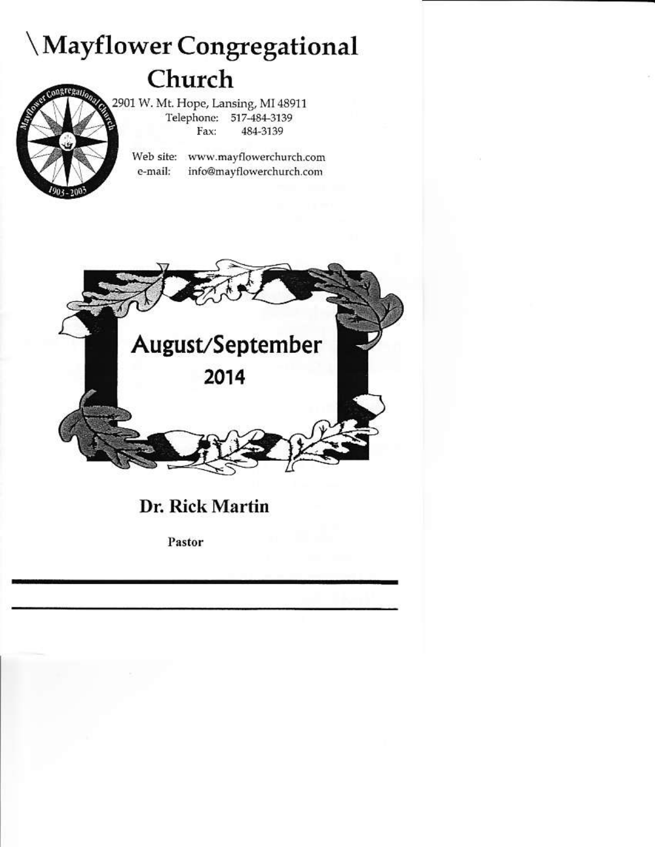## Mayflower Congregational Church

2901 W. Mt. Hope, Lansing, MI 48911 Telephone: 517-484-3139 Fax: 484-3139

> Web site: www.mayflowerchurch.com e-mail: info@mayflowerchurch.com



**Dr. Rick Martin** 

Pastor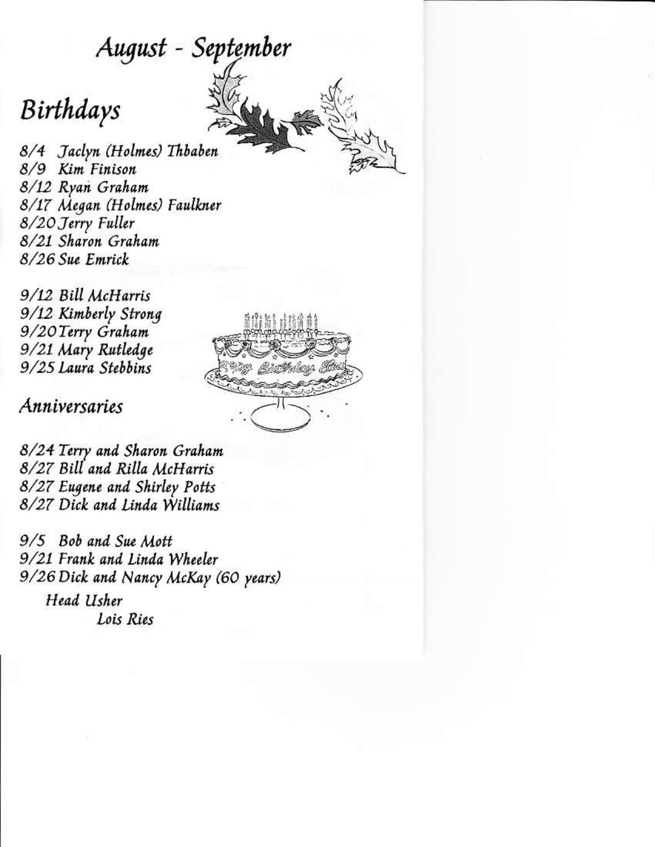### August - September

## Birthdays

8/4 Jaclyn (Holmes) Thbaben 8/9 Kim Finison 8/12 Ryan Graham 8/17 Megan (Holmes) Faulkner 8/20 Jerry Fuller 8/21 Sharon Graham 8/26 Sue Emrick

9/12 Bill McHarris 9/12 Kimberly Strong 9/20 Terry Graham 9/21 Mary Rutledge 9/25 Laura Stebbins

Anniversaries



8/24 Terry and Sharon Graham 8/27 Bill and Rilla McHarris 8/27 Eugene and Shirley Potts 8/27 Dick and Linda Williams

9/5 Bob and Sue Mott 9/21 Frank and Linda Wheeler 9/26 Dick and Nancy McKay (60 years) Head Usher Lois Ries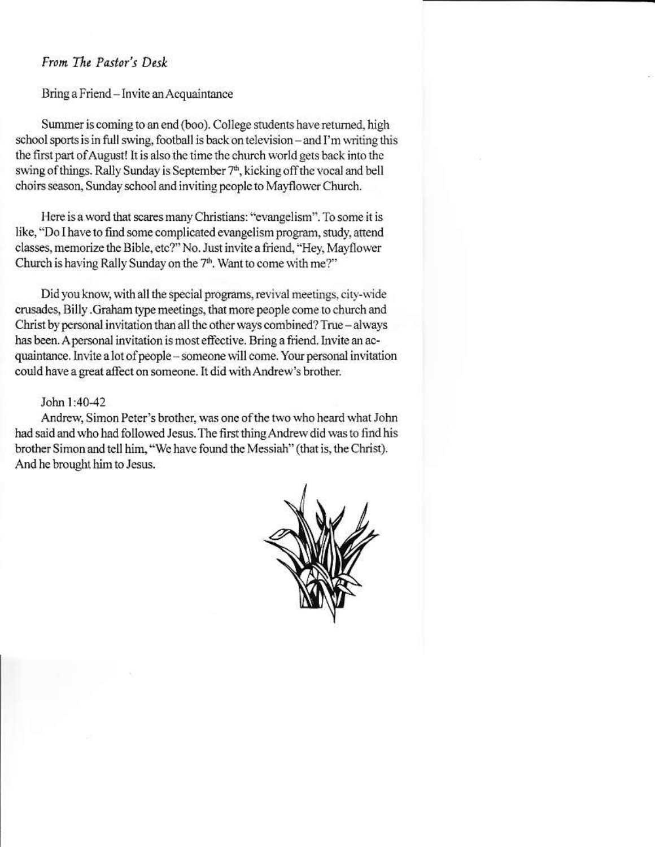#### From The Pastor's Desk

Bring a Friend - Invite an Acquaintance

Summer is coming to an end (boo). College students have returned, high school sports is in full swing, football is back on television – and I'm writing this the first part of August! It is also the time the church world gets back into the swing of things. Rally Sunday is September 7<sup>th</sup>, kicking off the vocal and bell choirs season, Sunday school and inviting people to Mayflower Church.

Here is a word that scares many Christians: "evangelism". To some it is like, "Do I have to find some complicated evangelism program, study, attend classes, memorize the Bible, etc?" No. Just invite a friend, "Hey, Mayflower Church is having Rally Sunday on the 7<sup>th</sup>. Want to come with me?"

Did you know, with all the special programs, revival meetings, city-wide crusades, Billy .Graham type meetings, that more people come to church and Christ by personal invitation than all the other ways combined? True - always has been. A personal invitation is most effective. Bring a friend. Invite an acquaintance. Invite a lot of people - someone will come. Your personal invitation could have a great affect on someone. It did with Andrew's brother.

#### John 1:40-42

Andrew, Simon Peter's brother, was one of the two who heard what John had said and who had followed Jesus. The first thing Andrew did was to find his brother Simon and tell him, "We have found the Messiah" (that is, the Christ). And he brought him to Jesus.

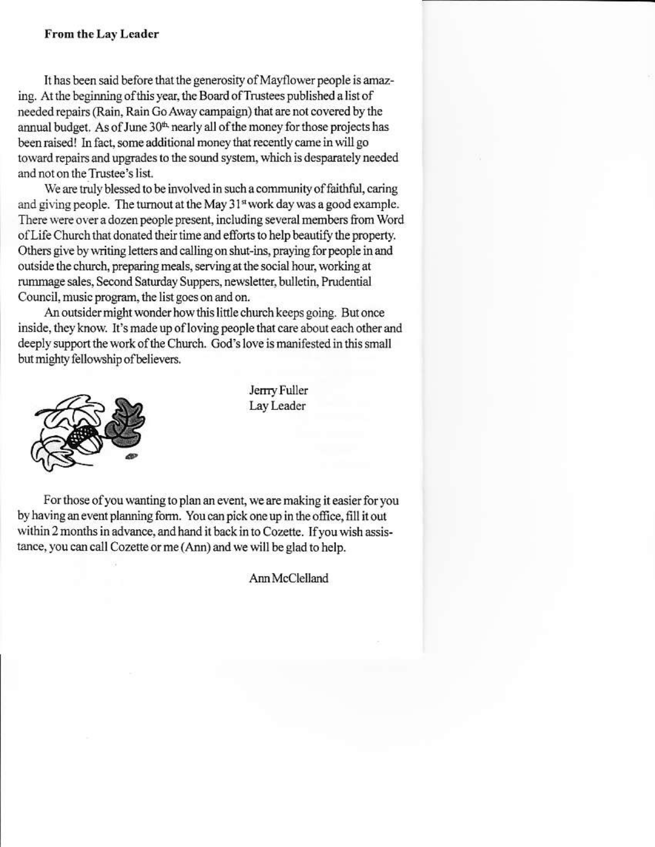#### **From the Lay Leader**

It has been said before that the generosity of Mayflower people is amazing. At the beginning of this year, the Board of Trustees published a list of needed repairs (Rain, Rain Go Away campaign) that are not covered by the annual budget. As of June 30<sup>th</sup> nearly all of the money for those projects has been raised! In fact, some additional money that recently came in will go toward repairs and upgrades to the sound system, which is desparately needed and not on the Trustee's list.

We are truly blessed to be involved in such a community of faithful, caring and giving people. The turnout at the May 31<sup>st</sup> work day was a good example. There were over a dozen people present, including several members from Word of Life Church that donated their time and efforts to help beautify the property. Others give by writing letters and calling on shut-ins, praying for people in and outside the church, preparing meals, serving at the social hour, working at rummage sales, Second Saturday Suppers, newsletter, bulletin, Prudential Council, music program, the list goes on and on.

An outsider might wonder how this little church keeps going. But once inside, they know. It's made up of loving people that care about each other and deeply support the work of the Church. God's love is manifested in this small but mighty fellowship of believers.



Jerrry Fuller Lay Leader

For those of you wanting to plan an event, we are making it easier for you by having an event planning form. You can pick one up in the office, fill it out within 2 months in advance, and hand it back in to Cozette. If you wish assistance, you can call Cozette or me (Ann) and we will be glad to help.

Ann McClelland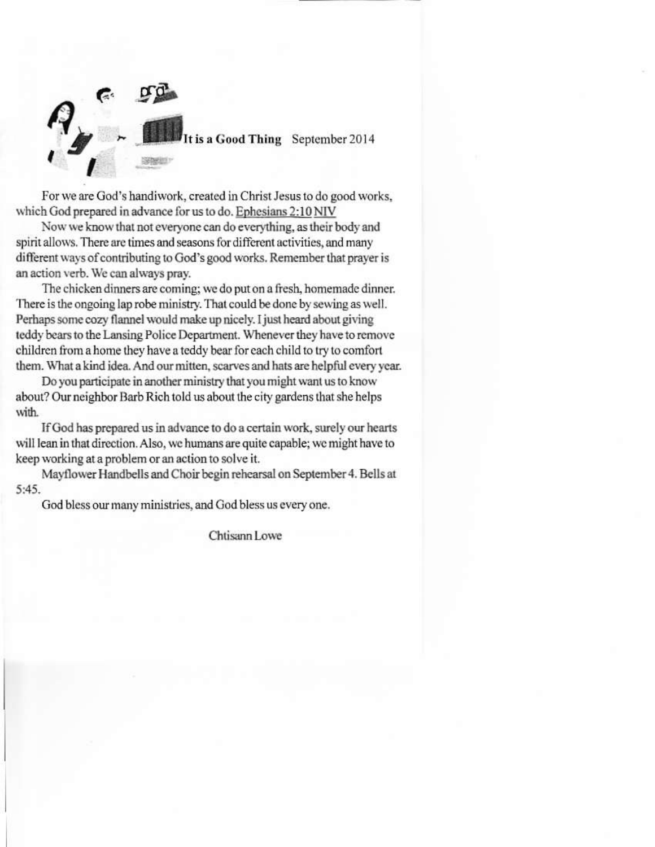

For we are God's handiwork, created in Christ Jesus to do good works, which God prepared in advance for us to do. Ephesians 2:10 NIV

Now we know that not everyone can do everything, as their body and spirit allows. There are times and seasons for different activities, and many different ways of contributing to God's good works. Remember that prayer is an action verb. We can always pray.

The chicken dinners are coming; we do put on a fresh, homemade dinner. There is the ongoing lap robe ministry. That could be done by sewing as well. Perhaps some cozy flannel would make up nicely. I just heard about giving teddy bears to the Lansing Police Department. Whenever they have to remove children from a home they have a teddy bear for each child to try to comfort them. What a kind idea. And our mitten, scarves and hats are helpful every year.

Do you participate in another ministry that you might want us to know about? Our neighbor Barb Rich told us about the city gardens that she helps with.

If God has prepared us in advance to do a certain work, surely our hearts will lean in that direction. Also, we humans are quite capable; we might have to keep working at a problem or an action to solve it.

Mayflower Handbells and Choir begin rehearsal on September 4. Bells at  $5:45.$ 

God bless our many ministries, and God bless us every one.

Chtisann Lowe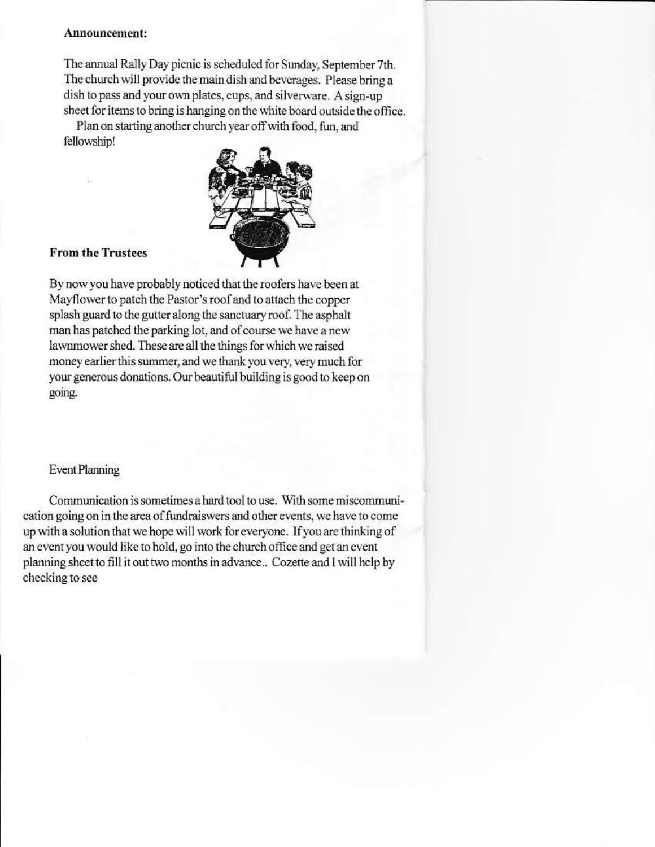#### Announcement:

The annual Rally Day picnic is scheduled for Sunday, September 7th. The church will provide the main dish and beverages. Please bring a dish to pass and your own plates, cups, and silverware. A sign-up sheet for items to bring is hanging on the white board outside the office.

Plan on starting another church year off with food, fun, and fellowship!



#### **From the Trustees**

By now you have probably noticed that the roofers have been at Mayflower to patch the Pastor's roof and to attach the copper splash guard to the gutter along the sanctuary roof. The asphalt man has patched the parking lot, and of course we have a new lawnmower shed. These are all the things for which we raised money earlier this summer, and we thank you very, very much for your generous donations. Our beautiful building is good to keep on going.

#### **Event Planning**

Communication is sometimes a hard tool to use. With some miscommunication going on in the area of fundraiswers and other events, we have to come up with a solution that we hope will work for everyone. If you are thinking of an event you would like to hold, go into the church office and get an event planning sheet to fill it out two months in advance.. Cozette and I will help by checking to see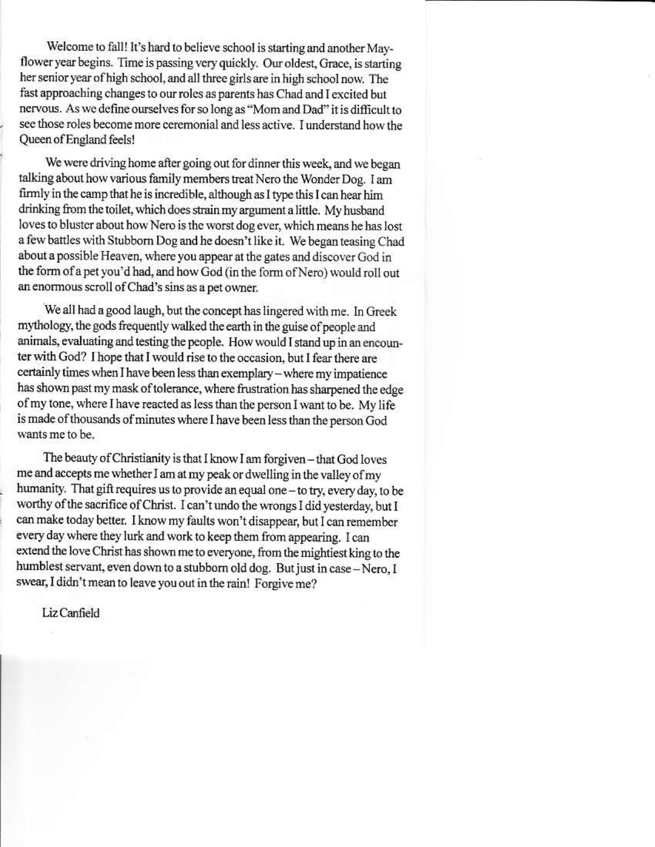Welcome to fall! It's hard to believe school is starting and another Mayflower year begins. Time is passing very quickly. Our oldest, Grace, is starting her senior year of high school, and all three girls are in high school now. The fast approaching changes to our roles as parents has Chad and I excited but nervous. As we define ourselves for so long as "Mom and Dad" it is difficult to see those roles become more ceremonial and less active. I understand how the Queen of England feels!

We were driving home after going out for dinner this week, and we began talking about how various family members treat Nero the Wonder Dog. I am firmly in the camp that he is incredible, although as I type this I can hear him drinking from the toilet, which does strain my argument a little. My husband loves to bluster about how Nero is the worst dog ever, which means he has lost a few battles with Stubborn Dog and he doesn't like it. We began teasing Chad about a possible Heaven, where you appear at the gates and discover God in the form of a pet you'd had, and how God (in the form of Nero) would roll out an enormous scroll of Chad's sins as a pet owner.

We all had a good laugh, but the concept has lingered with me. In Greek mythology, the gods frequently walked the earth in the guise of people and animals, evaluating and testing the people. How would I stand up in an encounter with God? I hope that I would rise to the occasion, but I fear there are certainly times when I have been less than exemplary - where my impatience has shown past my mask of tolerance, where frustration has sharpened the edge of my tone, where I have reacted as less than the person I want to be. My life is made of thousands of minutes where I have been less than the person God wants me to be.

The beauty of Christianity is that I know I am forgiven – that God loves me and accepts me whether I am at my peak or dwelling in the valley of my humanity. That gift requires us to provide an equal one - to try, every day, to be worthy of the sacrifice of Christ. I can't undo the wrongs I did yesterday, but I can make today better. I know my faults won't disappear, but I can remember every day where they lurk and work to keep them from appearing. I can extend the love Christ has shown me to everyone, from the mightiest king to the humblest servant, even down to a stubborn old dog. But just in case - Nero, I swear, I didn't mean to leave you out in the rain! Forgive me?

Liz Canfield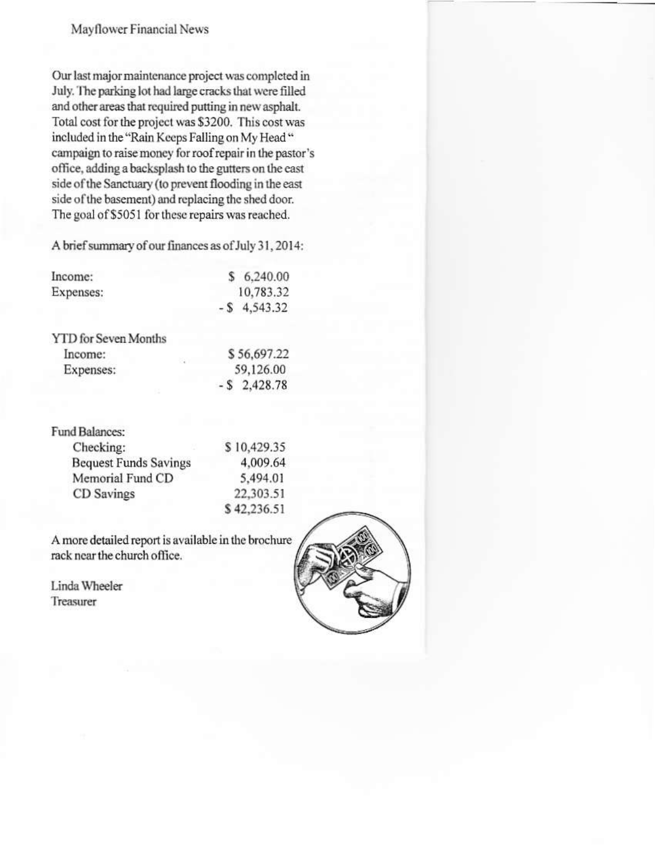### Mayflower Financial News

Our last major maintenance project was completed in July. The parking lot had large cracks that were filled and other areas that required putting in new asphalt. Total cost for the project was \$3200. This cost was included in the "Rain Keeps Falling on My Head" campaign to raise money for roof repair in the pastor's office, adding a backsplash to the gutters on the east side of the Sanctuary (to prevent flooding in the east side of the basement) and replacing the shed door. The goal of \$5051 for these repairs was reached.

A brief summary of our finances as of July 31, 2014:

| Income:                     | \$6,240.00      |
|-----------------------------|-----------------|
| Expenses:                   | 10,783.32       |
|                             | $-$ \$ 4,543.32 |
| <b>YTD</b> for Seven Months |                 |

| Income:   | \$56,697.22     |
|-----------|-----------------|
| Expenses: | 59,126.00       |
|           | $-$ \$ 2,428.78 |

| Fund Balances:               |  |
|------------------------------|--|
| Checking:                    |  |
| <b>Bequest Funds Savings</b> |  |
| Memorial Fund CD             |  |
| CD Savings                   |  |
|                              |  |

\$10,429.35 4,009.64 5,494.01 22,303.51 \$42,236.51

A more detailed report is available in the brochure rack near the church office.

Linda Wheeler Treasurer

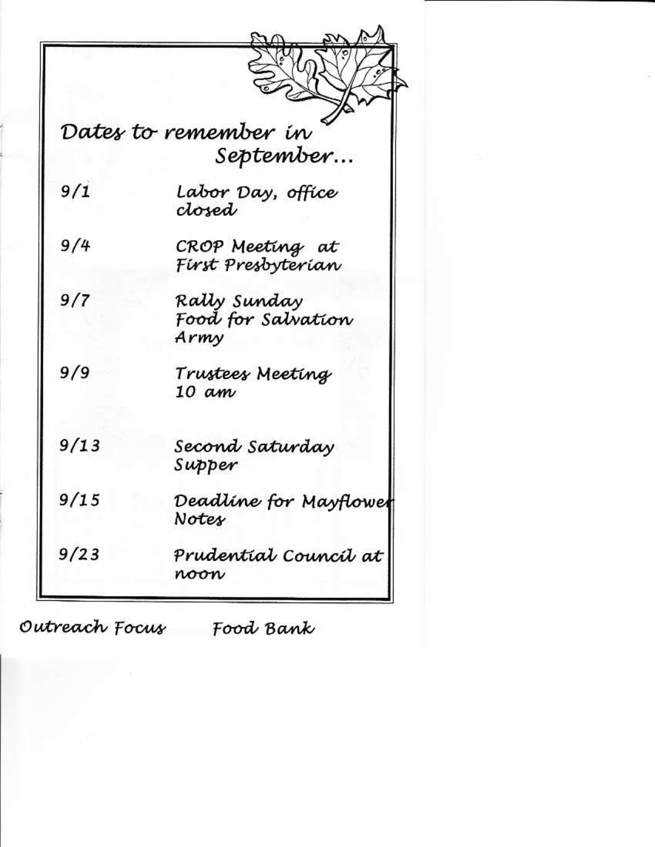|      | Dates to remember in<br>September          |
|------|--------------------------------------------|
| 9/1  | Labor Day, office<br>closed                |
| 9/4  | CROP Meeting at<br>Fírst Presbyterian      |
| 9/7  | Rałły Sunday<br>Food for Salvation<br>Army |
| 9/9  | Trustees Meeting<br>10 am                  |
| 9/13 | Second Saturday<br>Supper                  |
| 9/15 | Deadline for Mayflower<br>Notes            |
| 9/23 | Prudential Council at<br>noon              |

Outreach Focus Food Bank